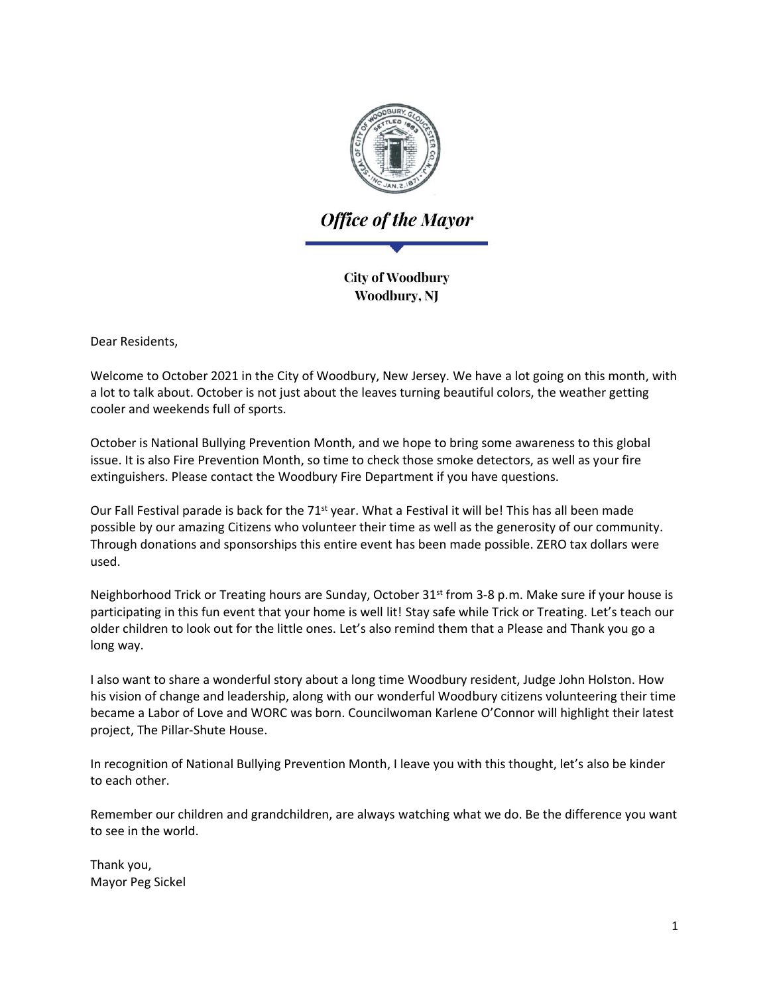

**Office of the Mayor** 

**City of Woodbury** Woodbury, NJ

Dear Residents,

Welcome to October 2021 in the City of Woodbury, New Jersey. We have a lot going on this month, with a lot to talk about. October is not just about the leaves turning beautiful colors, the weather getting cooler and weekends full of sports.

October is National Bullying Prevention Month, and we hope to bring some awareness to this global issue. It is also Fire Prevention Month, so time to check those smoke detectors, as well as your fire extinguishers. Please contact the Woodbury Fire Department if you have questions.

Our Fall Festival parade is back for the 71<sup>st</sup> year. What a Festival it will be! This has all been made possible by our amazing Citizens who volunteer their time as well as the generosity of our community. Through donations and sponsorships this entire event has been made possible. ZERO tax dollars were used.

Neighborhood Trick or Treating hours are Sunday, October 31<sup>st</sup> from 3-8 p.m. Make sure if your house is participating in this fun event that your home is well lit! Stay safe while Trick or Treating. Let's teach our older children to look out for the little ones. Let's also remind them that a Please and Thank you go a long way.

I also want to share a wonderful story about a long time Woodbury resident, Judge John Holston. How his vision of change and leadership, along with our wonderful Woodbury citizens volunteering their time became a Labor of Love and WORC was born. Councilwoman Karlene O'Connor will highlight their latest project, The Pillar-Shute House.

In recognition of National Bullying Prevention Month, I leave you with this thought, let's also be kinder to each other.

Remember our children and grandchildren, are always watching what we do. Be the difference you want to see in the world.

Thank you, Mayor Peg Sickel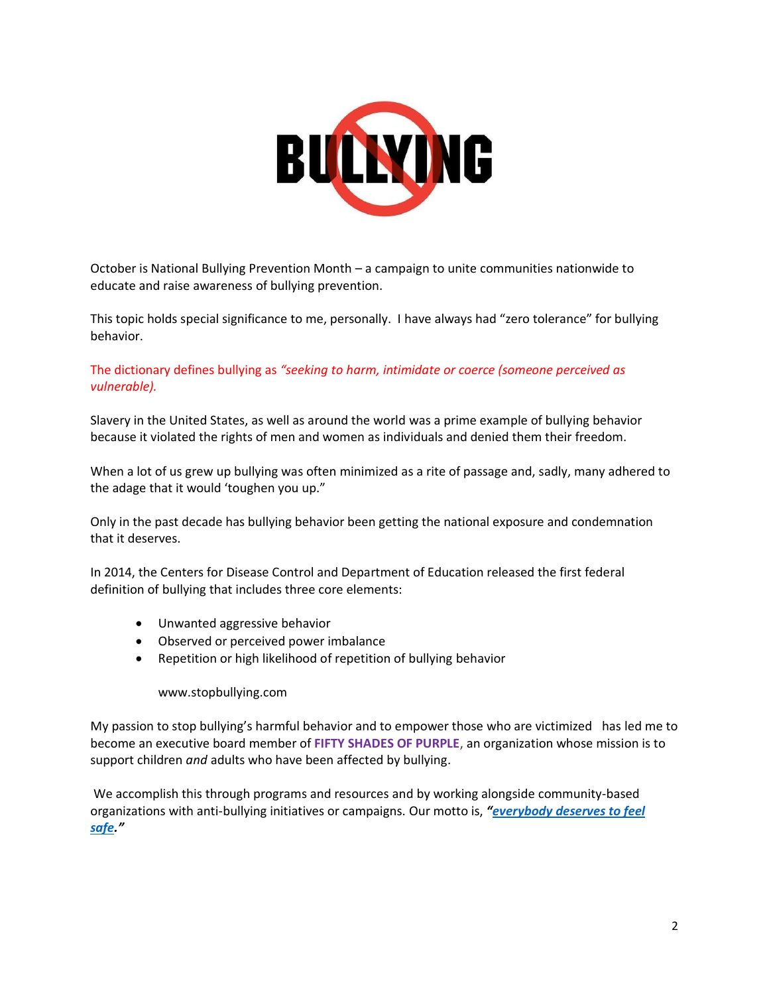

October is National Bullying Prevention Month – a campaign to unite communities nationwide to educate and raise awareness of bullying prevention.

This topic holds special significance to me, personally. I have always had "zero tolerance" for bullying behavior.

The dictionary defines bullying as *"seeking to harm, intimidate or coerce (someone perceived as vulnerable).*

Slavery in the United States, as well as around the world was a prime example of bullying behavior because it violated the rights of men and women as individuals and denied them their freedom.

When a lot of us grew up bullying was often minimized as a rite of passage and, sadly, many adhered to the adage that it would 'toughen you up."

Only in the past decade has bullying behavior been getting the national exposure and condemnation that it deserves.

In 2014, the Centers for Disease Control and Department of Education released the first federal definition of bullying that includes three core elements:

- Unwanted aggressive behavior
- Observed or perceived power imbalance
- Repetition or high likelihood of repetition of bullying behavior

www.stopbullying.com

My passion to stop bullying's harmful behavior and to empower those who are victimized has led me to become an executive board member of **FIFTY SHADES OF PURPLE**, an organization whose mission is to support children *and* adults who have been affected by bullying.

We accomplish this through programs and resources and by working alongside community-based organizations with anti-bullying initiatives or campaigns. Our motto is, *"[everybody deserves to feel](http://www.fspagainstbullying.org/)  [safe](http://www.fspagainstbullying.org/)."*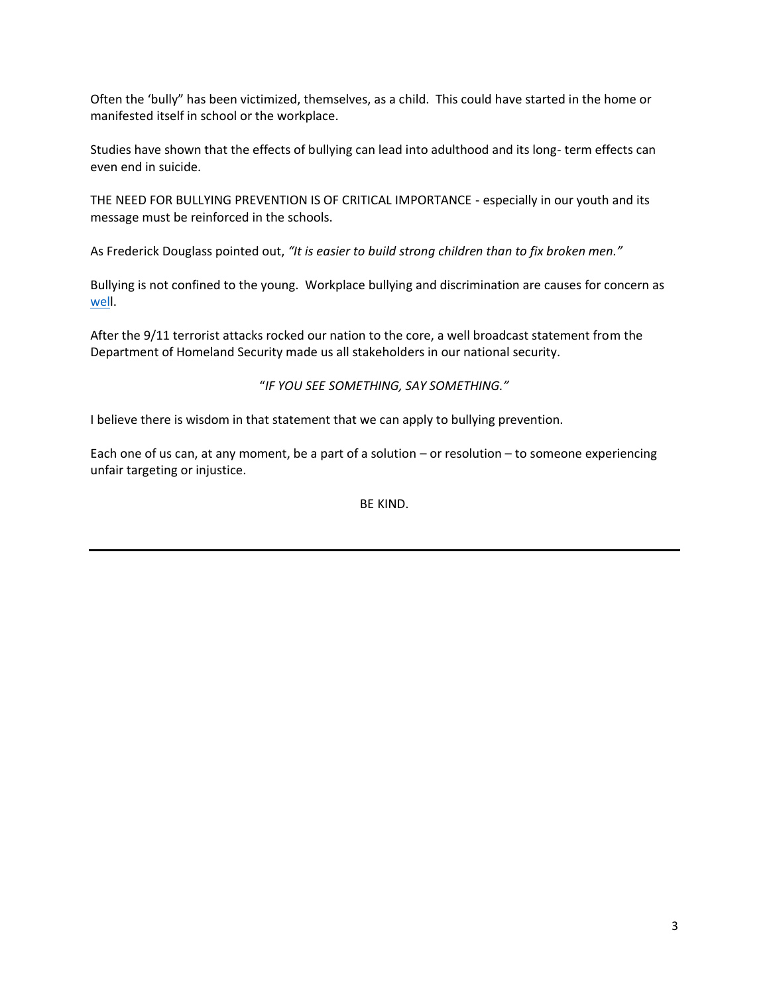Often the 'bully" has been victimized, themselves, as a child. This could have started in the home or manifested itself in school or the workplace.

Studies have shown that the effects of bullying can lead into adulthood and its long- term effects can even end in suicide.

THE NEED FOR BULLYING PREVENTION IS OF CRITICAL IMPORTANCE - especially in our youth and its message must be reinforced in the schools.

As Frederick Douglass pointed out, *"It is easier to build strong children than to fix broken men."*

Bullying is not confined to the young. Workplace bullying and discrimination are causes for concern as [well](http://www.fspagainstbullying.org/).

After the 9/11 terrorist attacks rocked our nation to the core, a well broadcast statement from the Department of Homeland Security made us all stakeholders in our national security.

#### "*IF YOU SEE SOMETHING, SAY SOMETHING."*

I believe there is wisdom in that statement that we can apply to bullying prevention.

Each one of us can, at any moment, be a part of a solution – or resolution – to someone experiencing unfair targeting or injustice.

BE KIND.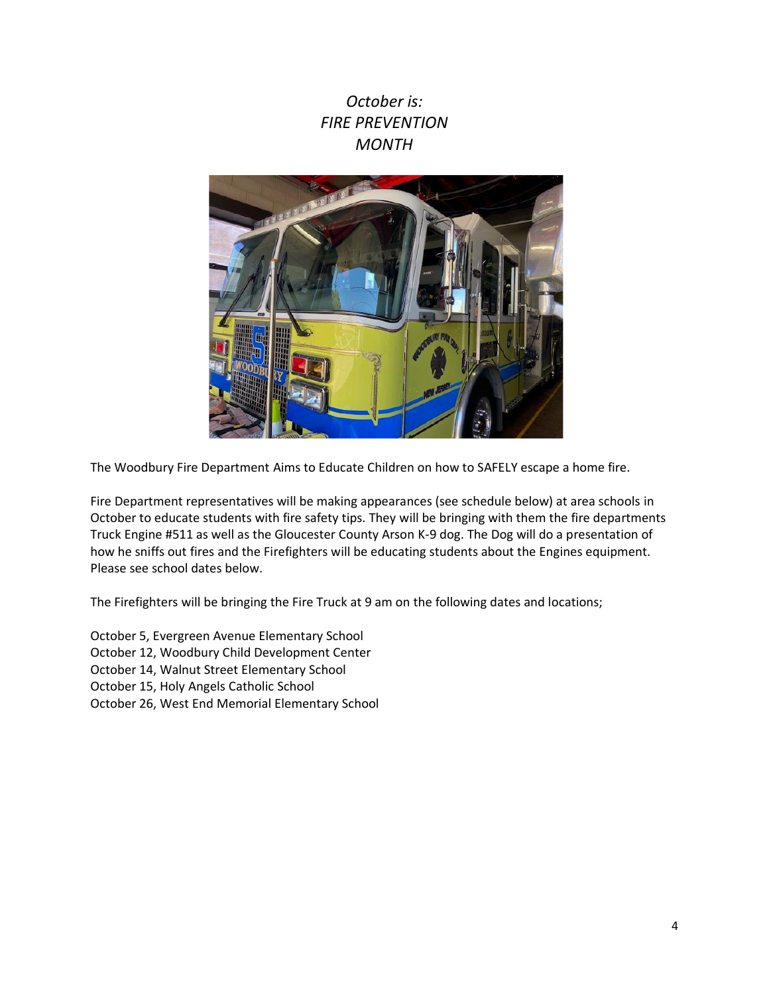## *October is: FIRE PREVENTION MONTH*



The Woodbury Fire Department Aims to Educate Children on how to SAFELY escape a home fire.

Fire Department representatives will be making appearances (see schedule below) at area schools in October to educate students with fire safety tips. They will be bringing with them the fire departments Truck Engine #511 as well as the Gloucester County Arson K-9 dog. The Dog will do a presentation of how he sniffs out fires and the Firefighters will be educating students about the Engines equipment. Please see school dates below.

The Firefighters will be bringing the Fire Truck at 9 am on the following dates and locations;

October 5, Evergreen Avenue Elementary School October 12, Woodbury Child Development Center October 14, Walnut Street Elementary School

October 15, Holy Angels Catholic School

October 26, West End Memorial Elementary School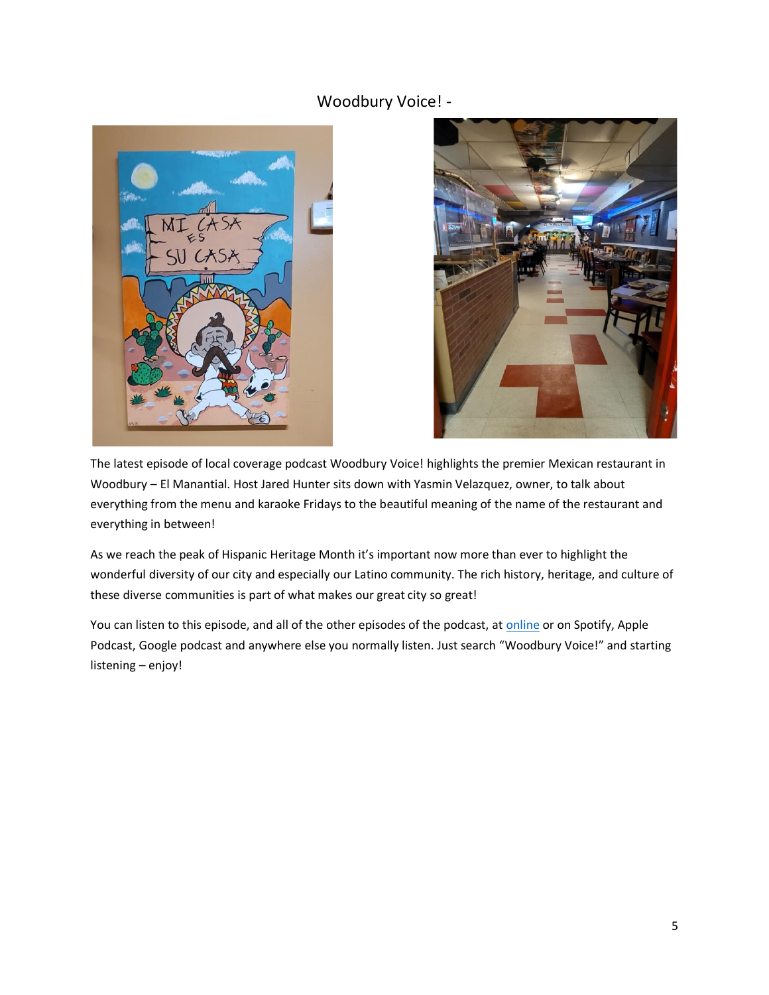### Woodbury Voice! -





The latest episode of local coverage podcast Woodbury Voice! highlights the premier Mexican restaurant in Woodbury – El Manantial. Host Jared Hunter sits down with Yasmin Velazquez, owner, to talk about everything from the menu and karaoke Fridays to the beautiful meaning of the name of the restaurant and everything in between!

As we reach the peak of Hispanic Heritage Month it's important now more than ever to highlight the wonderful diversity of our city and especially our Latino community. The rich history, heritage, and culture of these diverse communities is part of what makes our great city so great!

You can listen to this episode, and all of the other episodes of the podcast, at [online](/Users/cassidyswanson/Downloads/anchor.fm/woodburyvoice) or on Spotify, Apple Podcast, Google podcast and anywhere else you normally listen. Just search "Woodbury Voice!" and starting listening – enjoy!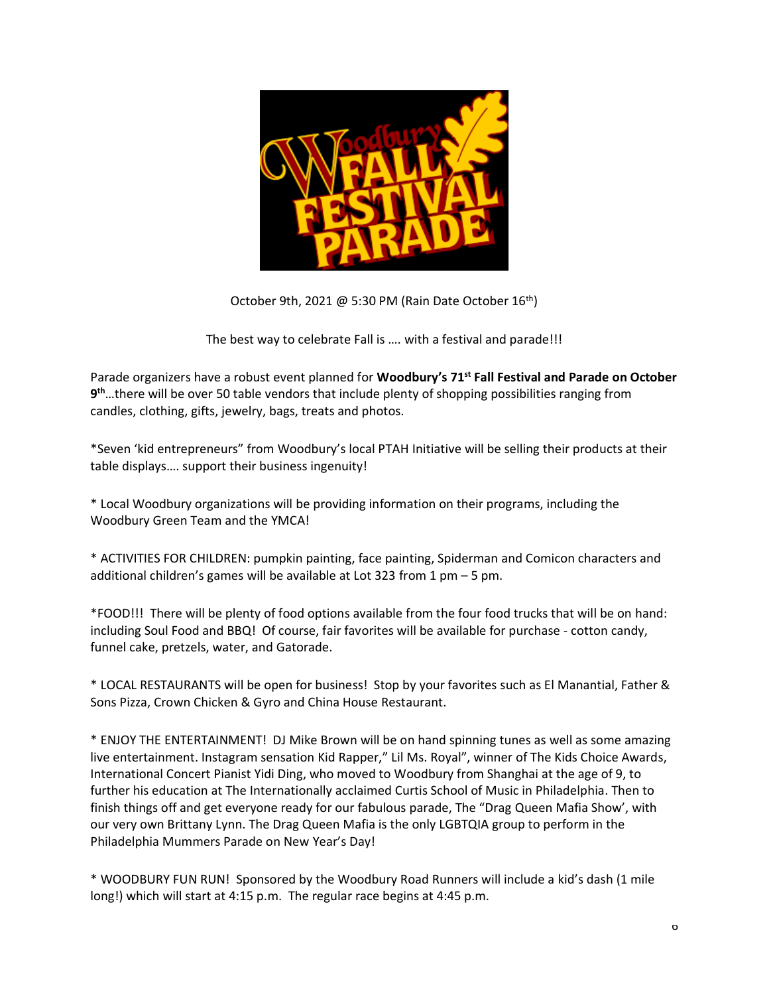

October 9th, 2021 @ 5:30 PM (Rain Date October  $16<sup>th</sup>$ )

The best way to celebrate Fall is …. with a festival and parade!!!

Parade organizers have a robust event planned for **Woodbury's 71st Fall Festival and Parade on October 9 th**…there will be over 50 table vendors that include plenty of shopping possibilities ranging from candles, clothing, gifts, jewelry, bags, treats and photos.

\*Seven 'kid entrepreneurs" from Woodbury's local PTAH Initiative will be selling their products at their table displays…. support their business ingenuity!

\* Local Woodbury organizations will be providing information on their programs, including the Woodbury Green Team and the YMCA!

\* ACTIVITIES FOR CHILDREN: pumpkin painting, face painting, Spiderman and Comicon characters and additional children's games will be available at Lot 323 from 1 pm – 5 pm.

\*FOOD!!! There will be plenty of food options available from the four food trucks that will be on hand: including Soul Food and BBQ! Of course, fair favorites will be available for purchase - cotton candy, funnel cake, pretzels, water, and Gatorade.

\* LOCAL RESTAURANTS will be open for business! Stop by your favorites such as El Manantial, Father & Sons Pizza, Crown Chicken & Gyro and China House Restaurant.

\* ENJOY THE ENTERTAINMENT! DJ Mike Brown will be on hand spinning tunes as well as some amazing live entertainment. Instagram sensation Kid Rapper," Lil Ms. Royal", winner of The Kids Choice Awards, International Concert Pianist Yidi Ding, who moved to Woodbury from Shanghai at the age of 9, to further his education at The Internationally acclaimed Curtis School of Music in Philadelphia. Then to finish things off and get everyone ready for our fabulous parade, The "Drag Queen Mafia Show', with our very own Brittany Lynn. The Drag Queen Mafia is the only LGBTQIA group to perform in the Philadelphia Mummers Parade on New Year's Day!

\* WOODBURY FUN RUN! Sponsored by the Woodbury Road Runners will include a kid's dash (1 mile long!) which will start at 4:15 p.m. The regular race begins at 4:45 p.m.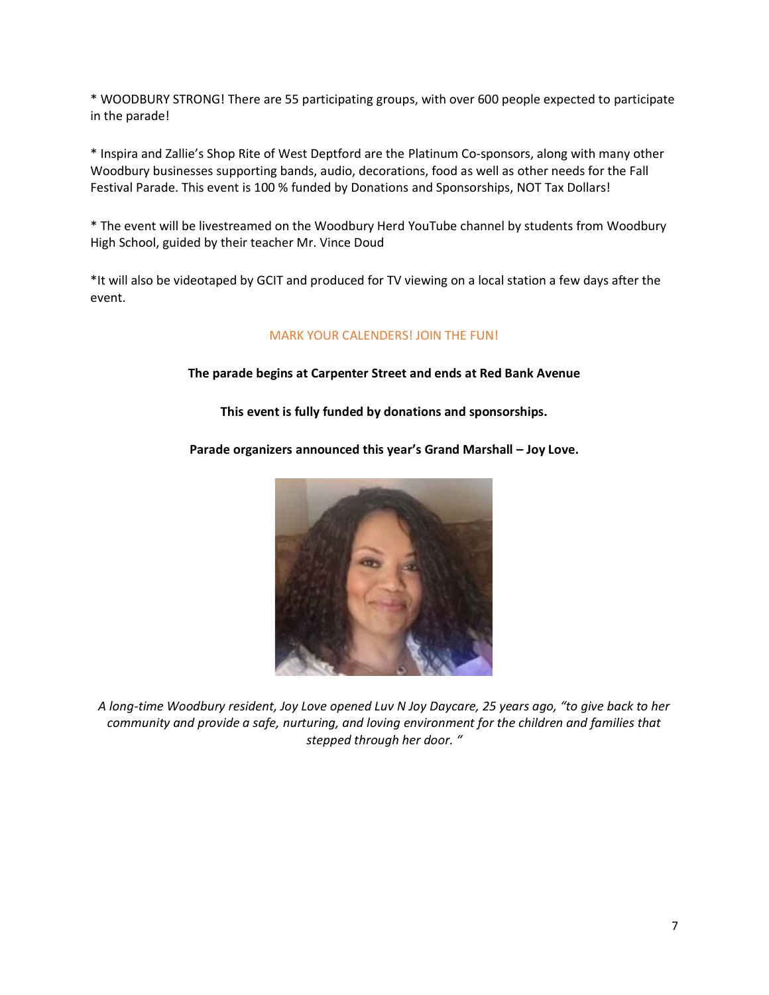\* WOODBURY STRONG! There are 55 participating groups, with over 600 people expected to participate in the parade!

\* Inspira and Zallie's Shop Rite of West Deptford are the Platinum Co-sponsors, along with many other Woodbury businesses supporting bands, audio, decorations, food as well as other needs for the Fall Festival Parade. This event is 100 % funded by Donations and Sponsorships, NOT Tax Dollars!

\* The event will be livestreamed on the Woodbury Herd YouTube channel by students from Woodbury High School, guided by their teacher Mr. Vince Doud

\*It will also be videotaped by GCIT and produced for TV viewing on a local station a few days after the event.

### MARK YOUR CALENDERS! JOIN THE FUN!

#### **The parade begins at Carpenter Street and ends at Red Bank Avenue**

**This event is fully funded by donations and sponsorships.**

**Parade organizers announced this year's Grand Marshall – Joy Love.**



*A long-time Woodbury resident, Joy Love opened Luv N Joy Daycare, 25 years ago, "to give back to her community and provide a safe, nurturing, and loving environment for the children and families that stepped through her door. "*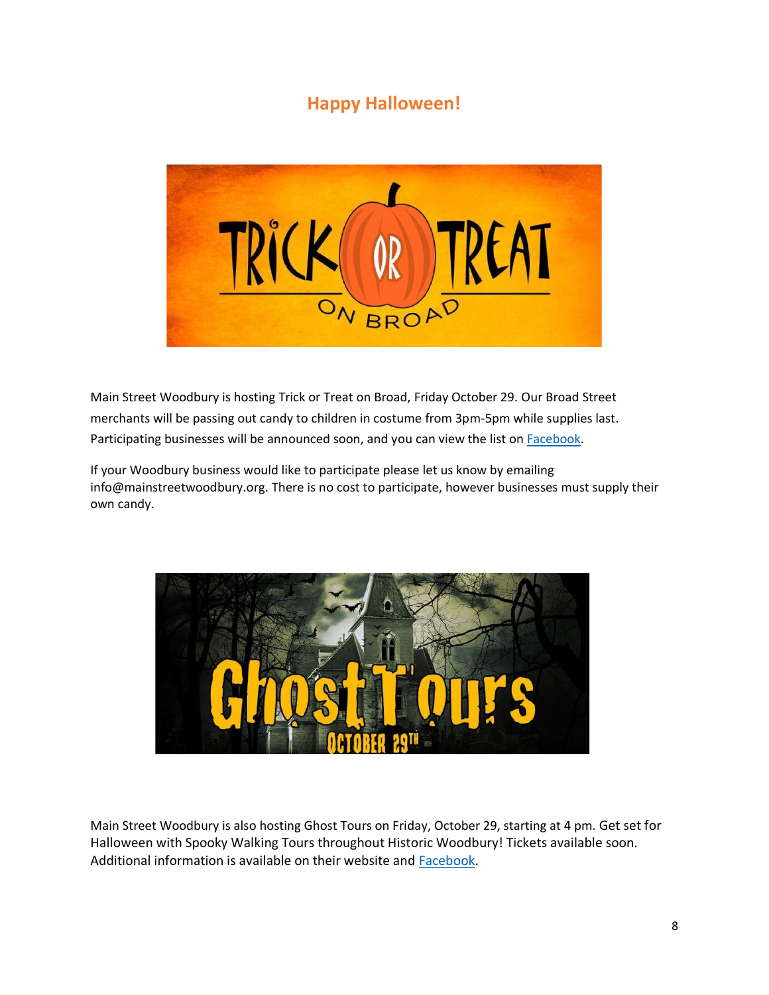# **Happy Halloween!**



Main Street Woodbury is hosting Trick or Treat on Broad, Friday October 29. Our Broad Street merchants will be passing out candy to children in costume from 3pm-5pm while supplies last. Participating businesses will be announced soon, and you can view the list o[n Facebook.](https://www.facebook.com/events/253167560046398?ref=newsfeed)

If your Woodbury business would like to participate please let us know by emailing info@mainstreetwoodbury.org. There is no cost to participate, however businesses must supply their own candy.



Main Street Woodbury is also hosting Ghost Tours on Friday, October 29, starting at 4 pm. Get set for Halloween with Spooky Walking Tours throughout Historic Woodbury! Tickets available soon. Additional information is available on their website and [Facebook.](https://www.facebook.com/events/1007887766448404?ref=newsfeed)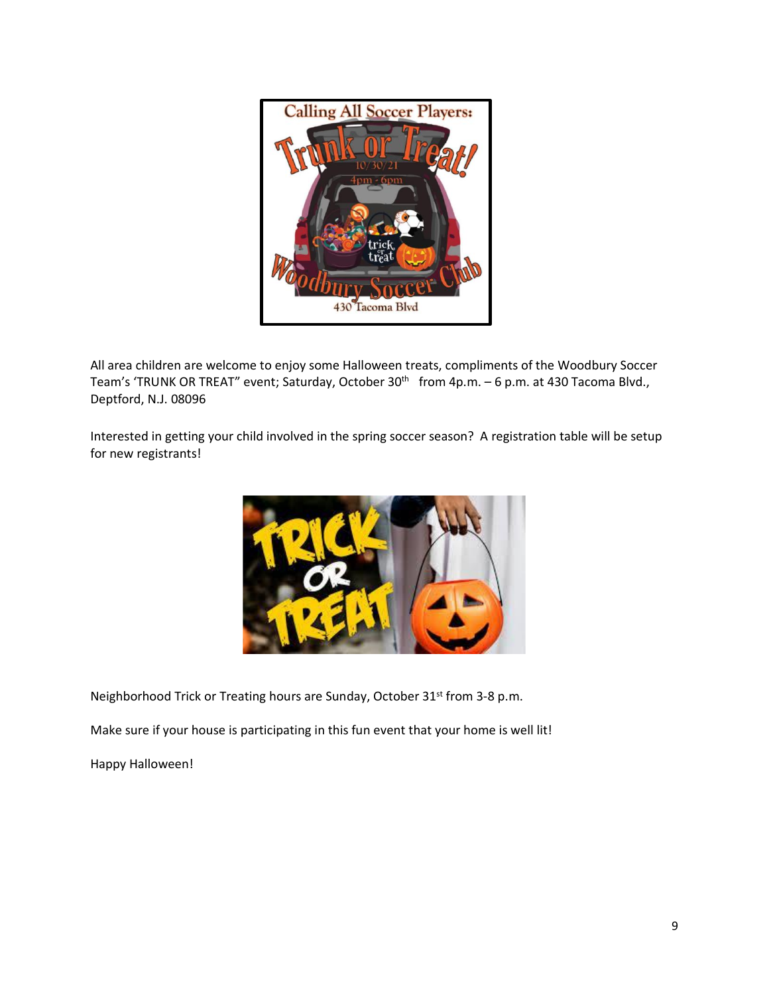

All area children are welcome to enjoy some Halloween treats, compliments of the Woodbury Soccer Team's 'TRUNK OR TREAT" event; Saturday, October 30<sup>th</sup> from 4p.m. - 6 p.m. at 430 Tacoma Blvd., Deptford, N.J. 08096

Interested in getting your child involved in the spring soccer season? A registration table will be setup for new registrants!



Neighborhood Trick or Treating hours are Sunday, October 31<sup>st</sup> from 3-8 p.m.

Make sure if your house is participating in this fun event that your home is well lit!

Happy Halloween!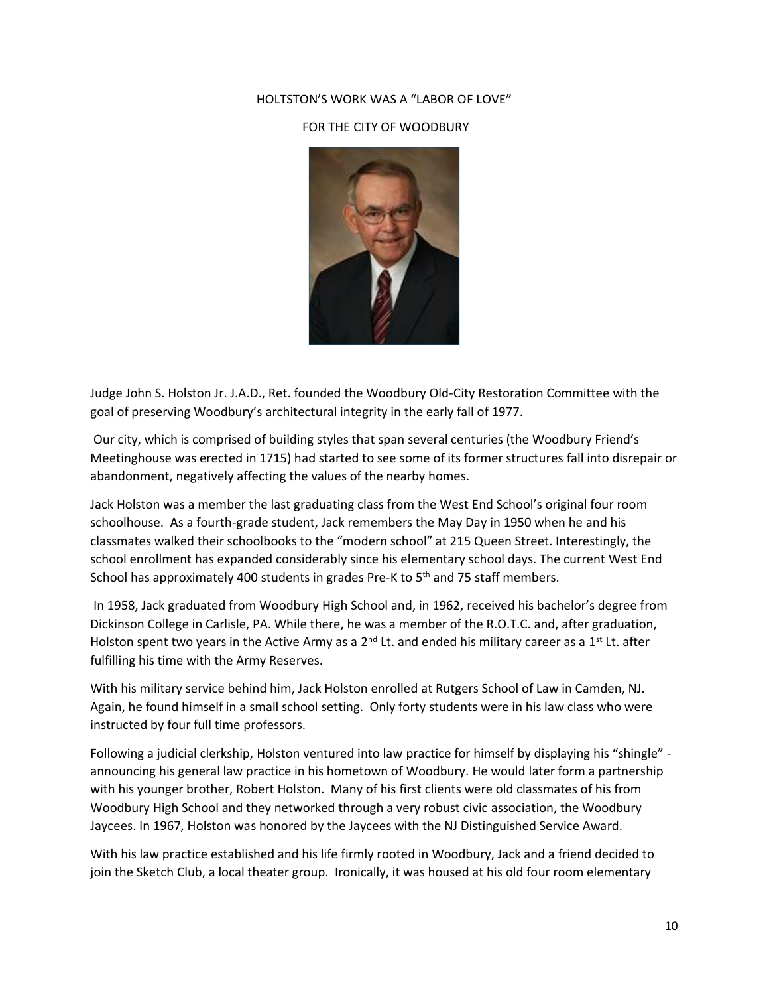#### HOLTSTON'S WORK WAS A "LABOR OF LOVE"

#### FOR THE CITY OF WOODBURY



Judge John S. Holston Jr. J.A.D., Ret. founded the Woodbury Old-City Restoration Committee with the goal of preserving Woodbury's architectural integrity in the early fall of 1977.

Our city, which is comprised of building styles that span several centuries (the Woodbury Friend's Meetinghouse was erected in 1715) had started to see some of its former structures fall into disrepair or abandonment, negatively affecting the values of the nearby homes.

Jack Holston was a member the last graduating class from the West End School's original four room schoolhouse. As a fourth-grade student, Jack remembers the May Day in 1950 when he and his classmates walked their schoolbooks to the "modern school" at 215 Queen Street. Interestingly, the school enrollment has expanded considerably since his elementary school days. The current West End School has approximately 400 students in grades Pre-K to  $5<sup>th</sup>$  and 75 staff members.

In 1958, Jack graduated from Woodbury High School and, in 1962, received his bachelor's degree from Dickinson College in Carlisle, PA. While there, he was a member of the R.O.T.C. and, after graduation, Holston spent two years in the Active Army as a 2<sup>nd</sup> Lt. and ended his military career as a 1<sup>st</sup> Lt. after fulfilling his time with the Army Reserves.

With his military service behind him, Jack Holston enrolled at Rutgers School of Law in Camden, NJ. Again, he found himself in a small school setting. Only forty students were in his law class who were instructed by four full time professors.

Following a judicial clerkship, Holston ventured into law practice for himself by displaying his "shingle" announcing his general law practice in his hometown of Woodbury. He would later form a partnership with his younger brother, Robert Holston. Many of his first clients were old classmates of his from Woodbury High School and they networked through a very robust civic association, the Woodbury Jaycees. In 1967, Holston was honored by the Jaycees with the NJ Distinguished Service Award.

With his law practice established and his life firmly rooted in Woodbury, Jack and a friend decided to join the Sketch Club, a local theater group. Ironically, it was housed at his old four room elementary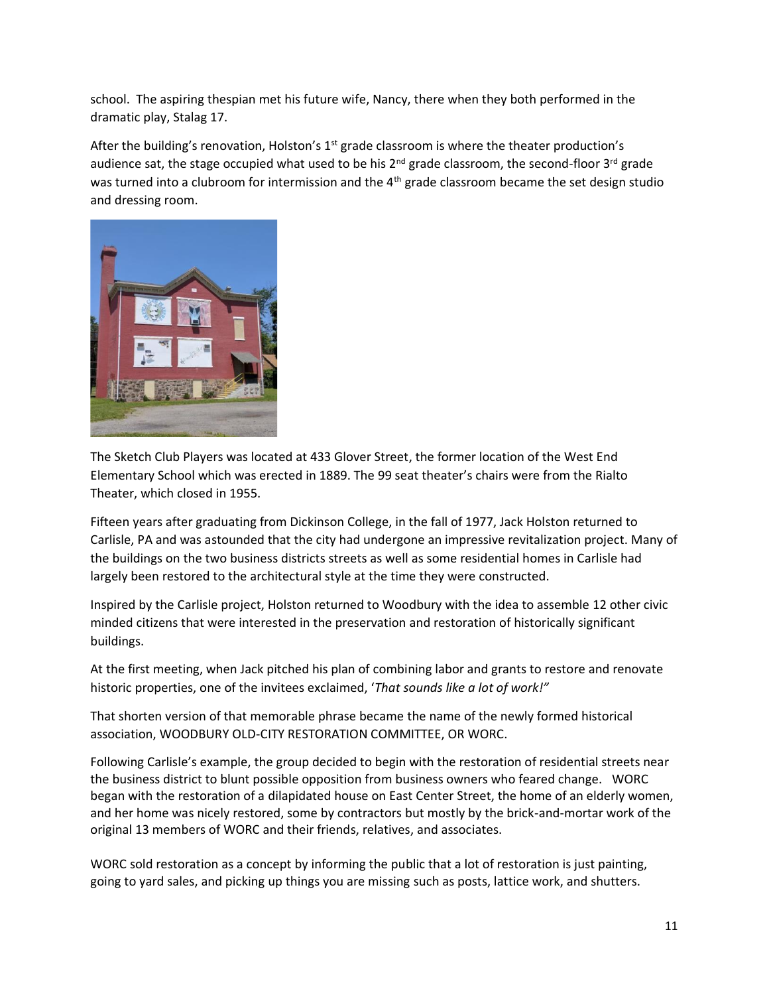school. The aspiring thespian met his future wife, Nancy, there when they both performed in the dramatic play, Stalag 17.

After the building's renovation, Holston's  $1<sup>st</sup>$  grade classroom is where the theater production's audience sat, the stage occupied what used to be his 2<sup>nd</sup> grade classroom, the second-floor 3<sup>rd</sup> grade was turned into a clubroom for intermission and the 4<sup>th</sup> grade classroom became the set design studio and dressing room.



The Sketch Club Players was located at 433 Glover Street, the former location of the West End Elementary School which was erected in 1889. The 99 seat theater's chairs were from the Rialto Theater, which closed in 1955.

Fifteen years after graduating from Dickinson College, in the fall of 1977, Jack Holston returned to Carlisle, PA and was astounded that the city had undergone an impressive revitalization project. Many of the buildings on the two business districts streets as well as some residential homes in Carlisle had largely been restored to the architectural style at the time they were constructed.

Inspired by the Carlisle project, Holston returned to Woodbury with the idea to assemble 12 other civic minded citizens that were interested in the preservation and restoration of historically significant buildings.

At the first meeting, when Jack pitched his plan of combining labor and grants to restore and renovate historic properties, one of the invitees exclaimed, '*That sounds like a lot of work!"*

That shorten version of that memorable phrase became the name of the newly formed historical association, WOODBURY OLD-CITY RESTORATION COMMITTEE, OR WORC.

Following Carlisle's example, the group decided to begin with the restoration of residential streets near the business district to blunt possible opposition from business owners who feared change. WORC began with the restoration of a dilapidated house on East Center Street, the home of an elderly women, and her home was nicely restored, some by contractors but mostly by the brick-and-mortar work of the original 13 members of WORC and their friends, relatives, and associates.

WORC sold restoration as a concept by informing the public that a lot of restoration is just painting, going to yard sales, and picking up things you are missing such as posts, lattice work, and shutters.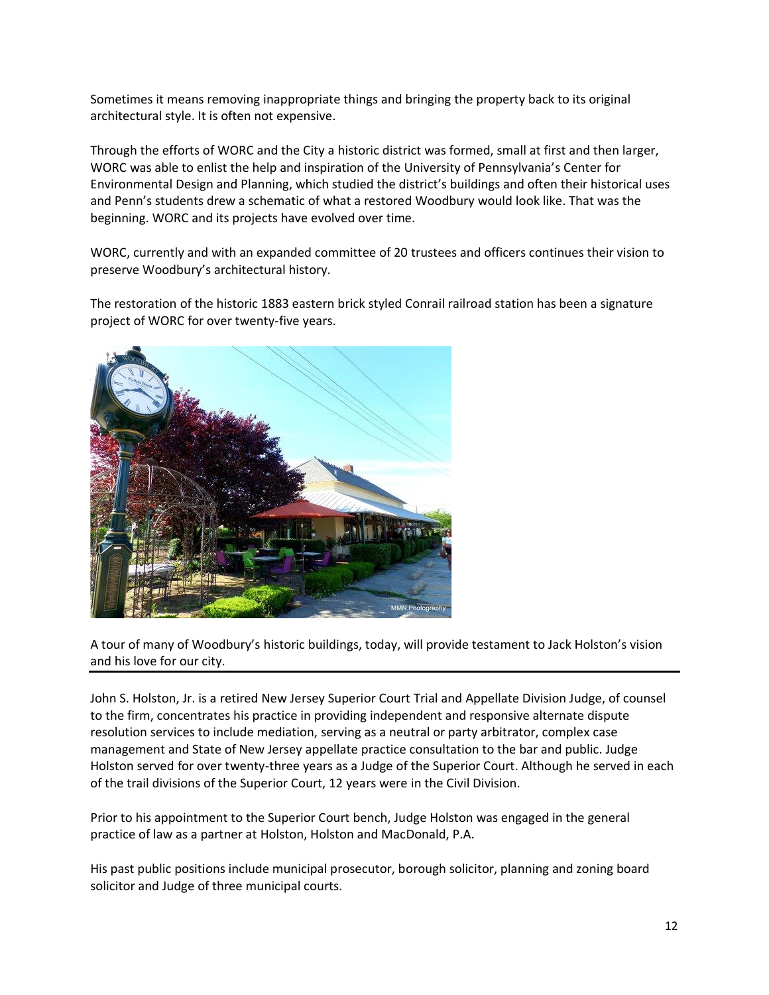Sometimes it means removing inappropriate things and bringing the property back to its original architectural style. It is often not expensive.

Through the efforts of WORC and the City a historic district was formed, small at first and then larger, WORC was able to enlist the help and inspiration of the University of Pennsylvania's Center for Environmental Design and Planning, which studied the district's buildings and often their historical uses and Penn's students drew a schematic of what a restored Woodbury would look like. That was the beginning. WORC and its projects have evolved over time.

WORC, currently and with an expanded committee of 20 trustees and officers continues their vision to preserve Woodbury's architectural history.

The restoration of the historic 1883 eastern brick styled Conrail railroad station has been a signature project of WORC for over twenty-five years.



A tour of many of Woodbury's historic buildings, today, will provide testament to Jack Holston's vision and his love for our city.

John S. Holston, Jr. is a retired New Jersey Superior Court Trial and Appellate Division Judge, of counsel to the firm, concentrates his practice in providing independent and responsive alternate dispute resolution services to include mediation, serving as a neutral or party arbitrator, complex case management and State of New Jersey appellate practice consultation to the bar and public. Judge Holston served for over twenty-three years as a Judge of the Superior Court. Although he served in each of the trail divisions of the Superior Court, 12 years were in the Civil Division.

Prior to his appointment to the Superior Court bench, Judge Holston was engaged in the general practice of law as a partner at Holston, Holston and MacDonald, P.A.

His past public positions include municipal prosecutor, borough solicitor, planning and zoning board solicitor and Judge of three municipal courts.